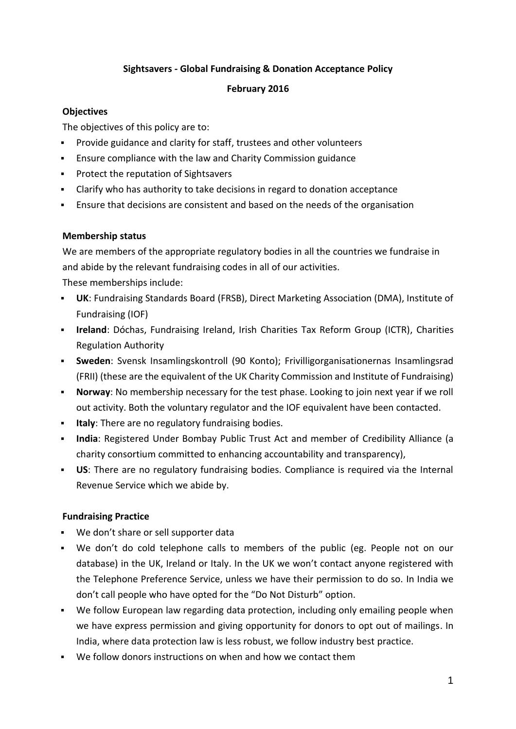## **Sightsavers - Global Fundraising & Donation Acceptance Policy**

### **February 2016**

## **Objectives**

The objectives of this policy are to:

- Provide guidance and clarity for staff, trustees and other volunteers
- Ensure compliance with the law and Charity Commission guidance
- **Protect the reputation of Sightsavers**
- Clarify who has authority to take decisions in regard to donation acceptance
- Ensure that decisions are consistent and based on the needs of the organisation

### **Membership status**

We are members of the appropriate regulatory bodies in all the countries we fundraise in and abide by the relevant fundraising codes in all of our activities.

These memberships include:

- **UK**: Fundraising Standards Board (FRSB), Direct Marketing Association (DMA), Institute of Fundraising (IOF)
- **Ireland**: Dóchas, Fundraising Ireland, Irish Charities Tax Reform Group (ICTR), Charities Regulation Authority
- **Sweden**: Svensk Insamlingskontroll (90 Konto); Frivilligorganisationernas Insamlingsrad (FRII) (these are the equivalent of the UK Charity Commission and Institute of Fundraising)
- **Norway**: No membership necessary for the test phase. Looking to join next year if we roll out activity. Both the voluntary regulator and the IOF equivalent have been contacted.
- **Italy**: There are no regulatory fundraising bodies.
- **India**: Registered Under Bombay Public Trust Act and member of Credibility Alliance (a charity consortium committed to enhancing accountability and transparency),
- **US**: There are no regulatory fundraising bodies. Compliance is required via the Internal Revenue Service which we abide by.

## **Fundraising Practice**

- We don't share or sell supporter data
- We don't do cold telephone calls to members of the public (eg. People not on our database) in the UK, Ireland or Italy. In the UK we won't contact anyone registered with the Telephone Preference Service, unless we have their permission to do so. In India we don't call people who have opted for the "Do Not Disturb" option.
- We follow European law regarding data protection, including only emailing people when we have express permission and giving opportunity for donors to opt out of mailings. In India, where data protection law is less robust, we follow industry best practice.
- We follow donors instructions on when and how we contact them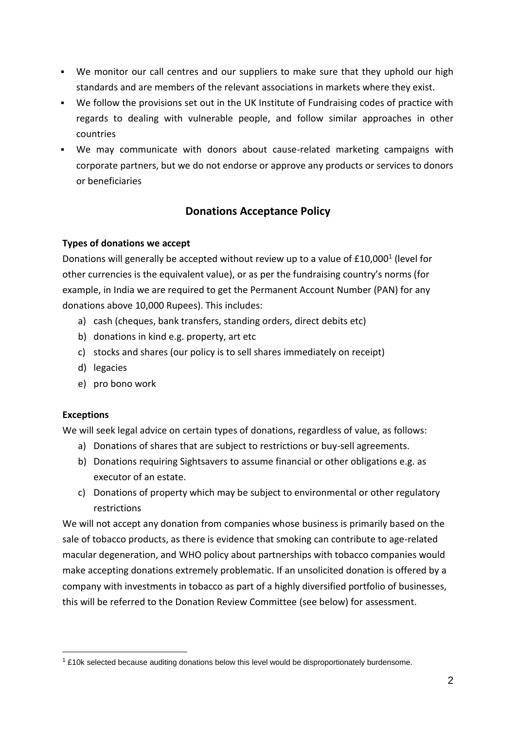- We monitor our call centres and our suppliers to make sure that they uphold our high standards and are members of the relevant associations in markets where they exist.
- We follow the provisions set out in the UK Institute of Fundraising codes of practice with regards to dealing with vulnerable people, and follow similar approaches in other countries
- We may communicate with donors about cause-related marketing campaigns with corporate partners, but we do not endorse or approve any products or services to donors or beneficiaries

# **Donations Acceptance Policy**

## **Types of donations we accept**

Donations will generally be accepted without review up to a value of £10,000<sup>1</sup> (level for other currencies is the equivalent value), or as per the fundraising country's norms (for example, in India we are required to get the Permanent Account Number (PAN) for any donations above 10,000 Rupees). This includes:

- a) cash (cheques, bank transfers, standing orders, direct debits etc)
- b) donations in kind e.g. property, art etc
- c) stocks and shares (our policy is to sell shares immediately on receipt)
- d) legacies
- e) pro bono work

### **Exceptions**

1

We will seek legal advice on certain types of donations, regardless of value, as follows:

- a) Donations of shares that are subject to restrictions or buy-sell agreements.
- b) Donations requiring Sightsavers to assume financial or other obligations e.g. as executor of an estate.
- c) Donations of property which may be subject to environmental or other regulatory restrictions

We will not accept any donation from companies whose business is primarily based on the sale of tobacco products, as there is evidence that smoking can contribute to age-related macular degeneration, and WHO policy about partnerships with tobacco companies would make accepting donations extremely problematic. If an unsolicited donation is offered by a company with investments in tobacco as part of a highly diversified portfolio of businesses, this will be referred to the Donation Review Committee (see below) for assessment.

<sup>&</sup>lt;sup>1</sup> £10k selected because auditing donations below this level would be disproportionately burdensome.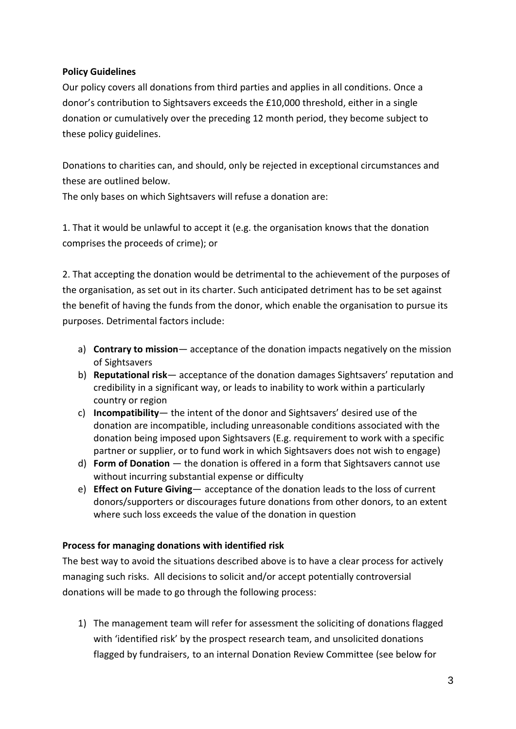### **Policy Guidelines**

Our policy covers all donations from third parties and applies in all conditions. Once a donor's contribution to Sightsavers exceeds the £10,000 threshold, either in a single donation or cumulatively over the preceding 12 month period, they become subject to these policy guidelines.

Donations to charities can, and should, only be rejected in exceptional circumstances and these are outlined below.

The only bases on which Sightsavers will refuse a donation are:

1. That it would be unlawful to accept it (e.g. the organisation knows that the donation comprises the proceeds of crime); or

2. That accepting the donation would be detrimental to the achievement of the purposes of the organisation, as set out in its charter. Such anticipated detriment has to be set against the benefit of having the funds from the donor, which enable the organisation to pursue its purposes. Detrimental factors include:

- a) **Contrary to mission** acceptance of the donation impacts negatively on the mission of Sightsavers
- b) **Reputational risk** acceptance of the donation damages Sightsavers' reputation and credibility in a significant way, or leads to inability to work within a particularly country or region
- c) **Incompatibility** the intent of the donor and Sightsavers' desired use of the donation are incompatible, including unreasonable conditions associated with the donation being imposed upon Sightsavers (E.g. requirement to work with a specific partner or supplier, or to fund work in which Sightsavers does not wish to engage)
- d) **Form of Donation**  the donation is offered in a form that Sightsavers cannot use without incurring substantial expense or difficulty
- e) **Effect on Future Giving** acceptance of the donation leads to the loss of current donors/supporters or discourages future donations from other donors, to an extent where such loss exceeds the value of the donation in question

### **Process for managing donations with identified risk**

The best way to avoid the situations described above is to have a clear process for actively managing such risks. All decisions to solicit and/or accept potentially controversial donations will be made to go through the following process:

1) The management team will refer for assessment the soliciting of donations flagged with 'identified risk' by the prospect research team, and unsolicited donations flagged by fundraisers, to an internal Donation Review Committee (see below for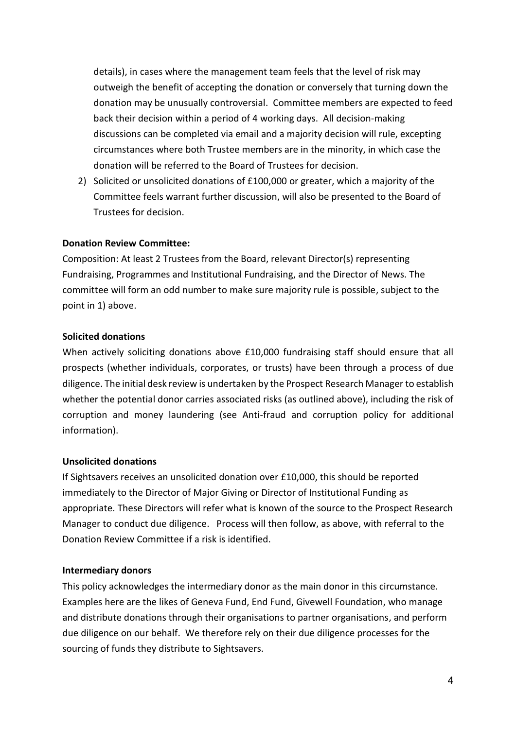details), in cases where the management team feels that the level of risk may outweigh the benefit of accepting the donation or conversely that turning down the donation may be unusually controversial. Committee members are expected to feed back their decision within a period of 4 working days. All decision-making discussions can be completed via email and a majority decision will rule, excepting circumstances where both Trustee members are in the minority, in which case the donation will be referred to the Board of Trustees for decision.

2) Solicited or unsolicited donations of £100,000 or greater, which a majority of the Committee feels warrant further discussion, will also be presented to the Board of Trustees for decision.

#### **Donation Review Committee:**

Composition: At least 2 Trustees from the Board, relevant Director(s) representing Fundraising, Programmes and Institutional Fundraising, and the Director of News. The committee will form an odd number to make sure majority rule is possible, subject to the point in 1) above.

#### **Solicited donations**

When actively soliciting donations above £10,000 fundraising staff should ensure that all prospects (whether individuals, corporates, or trusts) have been through a process of due diligence. The initial desk review is undertaken by the Prospect Research Manager to establish whether the potential donor carries associated risks (as outlined above), including the risk of corruption and money laundering (see Anti-fraud and corruption policy for additional information).

#### **Unsolicited donations**

If Sightsavers receives an unsolicited donation over £10,000, this should be reported immediately to the Director of Major Giving or Director of Institutional Funding as appropriate. These Directors will refer what is known of the source to the Prospect Research Manager to conduct due diligence. Process will then follow, as above, with referral to the Donation Review Committee if a risk is identified.

#### **Intermediary donors**

This policy acknowledges the intermediary donor as the main donor in this circumstance. Examples here are the likes of Geneva Fund, End Fund, Givewell Foundation, who manage and distribute donations through their organisations to partner organisations, and perform due diligence on our behalf. We therefore rely on their due diligence processes for the sourcing of funds they distribute to Sightsavers.